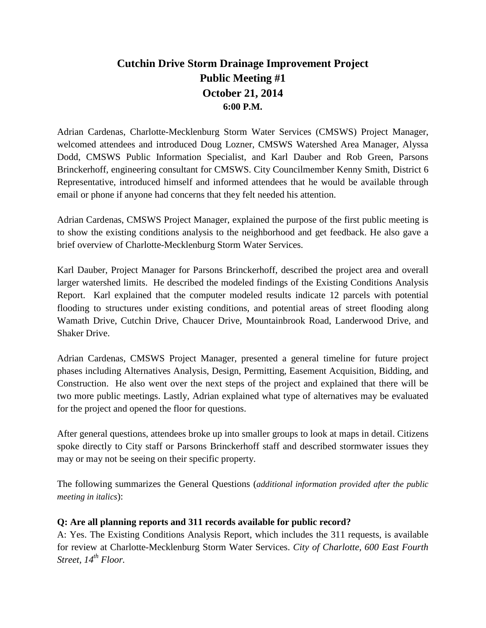# **Cutchin Drive Storm Drainage Improvement Project Public Meeting #1 October 21, 2014 6:00 P.M.**

Adrian Cardenas, Charlotte-Mecklenburg Storm Water Services (CMSWS) Project Manager, welcomed attendees and introduced Doug Lozner, CMSWS Watershed Area Manager, Alyssa Dodd, CMSWS Public Information Specialist, and Karl Dauber and Rob Green, Parsons Brinckerhoff, engineering consultant for CMSWS. City Councilmember Kenny Smith, District 6 Representative, introduced himself and informed attendees that he would be available through email or phone if anyone had concerns that they felt needed his attention.

Adrian Cardenas, CMSWS Project Manager, explained the purpose of the first public meeting is to show the existing conditions analysis to the neighborhood and get feedback. He also gave a brief overview of Charlotte-Mecklenburg Storm Water Services.

Karl Dauber, Project Manager for Parsons Brinckerhoff, described the project area and overall larger watershed limits. He described the modeled findings of the Existing Conditions Analysis Report. Karl explained that the computer modeled results indicate 12 parcels with potential flooding to structures under existing conditions, and potential areas of street flooding along Wamath Drive, Cutchin Drive, Chaucer Drive, Mountainbrook Road, Landerwood Drive, and Shaker Drive.

Adrian Cardenas, CMSWS Project Manager, presented a general timeline for future project phases including Alternatives Analysis, Design, Permitting, Easement Acquisition, Bidding, and Construction. He also went over the next steps of the project and explained that there will be two more public meetings. Lastly, Adrian explained what type of alternatives may be evaluated for the project and opened the floor for questions.

After general questions, attendees broke up into smaller groups to look at maps in detail. Citizens spoke directly to City staff or Parsons Brinckerhoff staff and described stormwater issues they may or may not be seeing on their specific property.

The following summarizes the General Questions (*additional information provided after the public meeting in italics*):

#### **Q: Are all planning reports and 311 records available for public record?**

A: Yes. The Existing Conditions Analysis Report, which includes the 311 requests, is available for review at Charlotte-Mecklenburg Storm Water Services. *City of Charlotte, 600 East Fourth Street, 14th Floor.*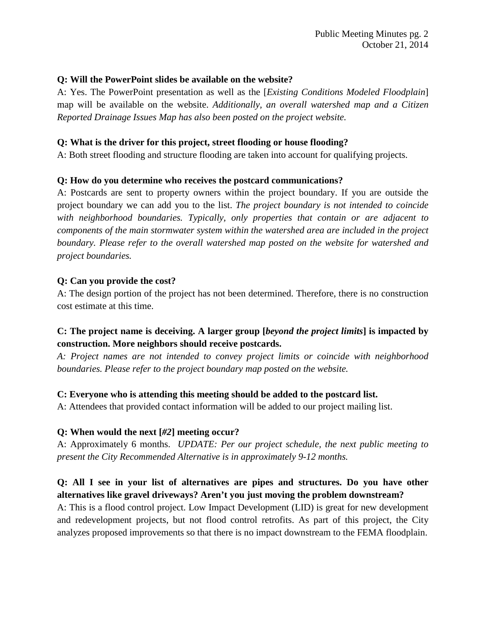#### **Q: Will the PowerPoint slides be available on the website?**

A: Yes. The PowerPoint presentation as well as the [*Existing Conditions Modeled Floodplain*] map will be available on the website. *Additionally, an overall watershed map and a Citizen Reported Drainage Issues Map has also been posted on the project website.*

#### **Q: What is the driver for this project, street flooding or house flooding?**

A: Both street flooding and structure flooding are taken into account for qualifying projects.

#### **Q: How do you determine who receives the postcard communications?**

A: Postcards are sent to property owners within the project boundary. If you are outside the project boundary we can add you to the list. *The project boundary is not intended to coincide with neighborhood boundaries. Typically, only properties that contain or are adjacent to components of the main stormwater system within the watershed area are included in the project boundary. Please refer to the overall watershed map posted on the website for watershed and project boundaries.*

#### **Q: Can you provide the cost?**

A: The design portion of the project has not been determined. Therefore, there is no construction cost estimate at this time.

# **C: The project name is deceiving. A larger group [***beyond the project limits***] is impacted by construction. More neighbors should receive postcards.**

*A: Project names are not intended to convey project limits or coincide with neighborhood boundaries. Please refer to the project boundary map posted on the website.*

#### **C: Everyone who is attending this meeting should be added to the postcard list.**

A: Attendees that provided contact information will be added to our project mailing list.

#### **Q: When would the next [***#2***] meeting occur?**

A: Approximately 6 months. *UPDATE: Per our project schedule, the next public meeting to present the City Recommended Alternative is in approximately 9-12 months.*

### **Q: All I see in your list of alternatives are pipes and structures. Do you have other alternatives like gravel driveways? Aren't you just moving the problem downstream?**

A: This is a flood control project. Low Impact Development (LID) is great for new development and redevelopment projects, but not flood control retrofits. As part of this project, the City analyzes proposed improvements so that there is no impact downstream to the FEMA floodplain.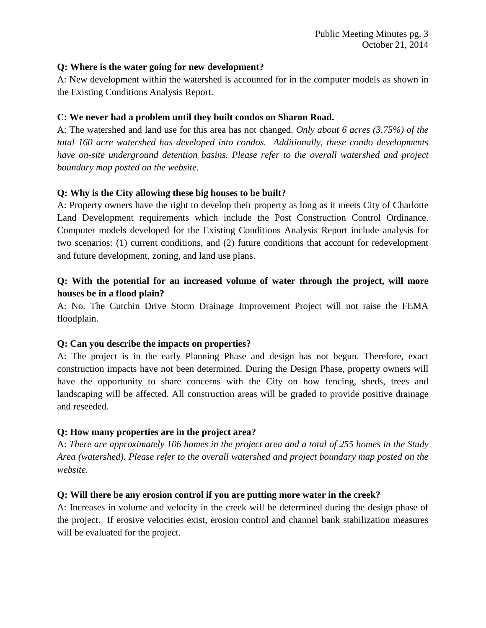#### **Q: Where is the water going for new development?**

A: New development within the watershed is accounted for in the computer models as shown in the Existing Conditions Analysis Report.

#### **C: We never had a problem until they built condos on Sharon Road.**

A: The watershed and land use for this area has not changed. *Only about 6 acres (3.75%) of the total 160 acre watershed has developed into condos. Additionally, these condo developments have on-site underground detention basins. Please refer to the overall watershed and project boundary map posted on the website.*

### **Q: Why is the City allowing these big houses to be built?**

A: Property owners have the right to develop their property as long as it meets City of Charlotte Land Development requirements which include the Post Construction Control Ordinance. Computer models developed for the Existing Conditions Analysis Report include analysis for two scenarios: (1) current conditions, and (2) future conditions that account for redevelopment and future development, zoning, and land use plans.

# **Q: With the potential for an increased volume of water through the project, will more houses be in a flood plain?**

A: No. The Cutchin Drive Storm Drainage Improvement Project will not raise the FEMA floodplain.

#### **Q: Can you describe the impacts on properties?**

A: The project is in the early Planning Phase and design has not begun. Therefore, exact construction impacts have not been determined. During the Design Phase, property owners will have the opportunity to share concerns with the City on how fencing, sheds, trees and landscaping will be affected. All construction areas will be graded to provide positive drainage and reseeded.

#### **Q: How many properties are in the project area?**

A: *There are approximately 106 homes in the project area and a total of 255 homes in the Study Area (watershed). Please refer to the overall watershed and project boundary map posted on the website.*

#### **Q: Will there be any erosion control if you are putting more water in the creek?**

A: Increases in volume and velocity in the creek will be determined during the design phase of the project. If erosive velocities exist, erosion control and channel bank stabilization measures will be evaluated for the project.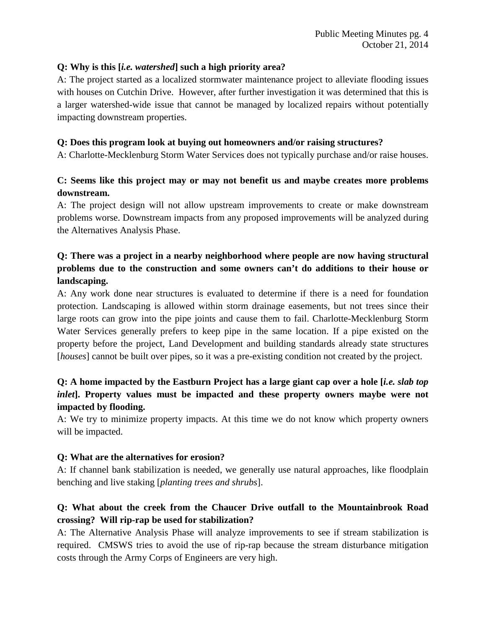#### **Q: Why is this [***i.e. watershed***] such a high priority area?**

A: The project started as a localized stormwater maintenance project to alleviate flooding issues with houses on Cutchin Drive. However, after further investigation it was determined that this is a larger watershed-wide issue that cannot be managed by localized repairs without potentially impacting downstream properties.

#### **Q: Does this program look at buying out homeowners and/or raising structures?**

A: Charlotte-Mecklenburg Storm Water Services does not typically purchase and/or raise houses.

# **C: Seems like this project may or may not benefit us and maybe creates more problems downstream.**

A: The project design will not allow upstream improvements to create or make downstream problems worse. Downstream impacts from any proposed improvements will be analyzed during the Alternatives Analysis Phase.

# **Q: There was a project in a nearby neighborhood where people are now having structural problems due to the construction and some owners can't do additions to their house or landscaping.**

A: Any work done near structures is evaluated to determine if there is a need for foundation protection. Landscaping is allowed within storm drainage easements, but not trees since their large roots can grow into the pipe joints and cause them to fail. Charlotte-Mecklenburg Storm Water Services generally prefers to keep pipe in the same location. If a pipe existed on the property before the project, Land Development and building standards already state structures [*houses*] cannot be built over pipes, so it was a pre-existing condition not created by the project.

# **Q: A home impacted by the Eastburn Project has a large giant cap over a hole [***i.e. slab top inlet***]. Property values must be impacted and these property owners maybe were not impacted by flooding.**

A: We try to minimize property impacts. At this time we do not know which property owners will be impacted.

#### **Q: What are the alternatives for erosion?**

A: If channel bank stabilization is needed, we generally use natural approaches, like floodplain benching and live staking [*planting trees and shrubs*].

# **Q: What about the creek from the Chaucer Drive outfall to the Mountainbrook Road crossing? Will rip-rap be used for stabilization?**

A: The Alternative Analysis Phase will analyze improvements to see if stream stabilization is required. CMSWS tries to avoid the use of rip-rap because the stream disturbance mitigation costs through the Army Corps of Engineers are very high.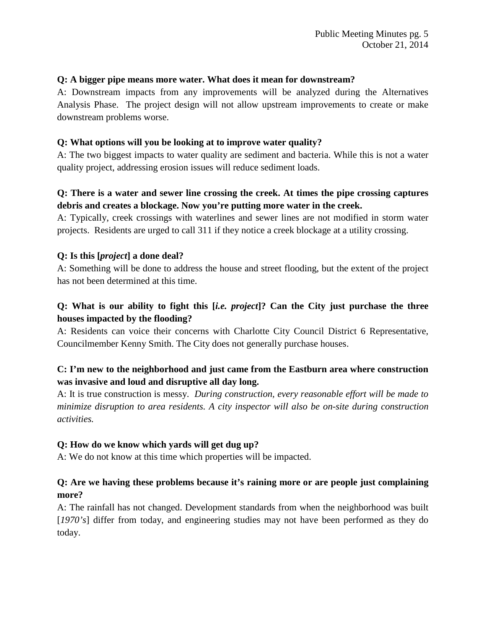#### **Q: A bigger pipe means more water. What does it mean for downstream?**

A: Downstream impacts from any improvements will be analyzed during the Alternatives Analysis Phase. The project design will not allow upstream improvements to create or make downstream problems worse.

#### **Q: What options will you be looking at to improve water quality?**

A: The two biggest impacts to water quality are sediment and bacteria. While this is not a water quality project, addressing erosion issues will reduce sediment loads.

# **Q: There is a water and sewer line crossing the creek. At times the pipe crossing captures debris and creates a blockage. Now you're putting more water in the creek.**

A: Typically, creek crossings with waterlines and sewer lines are not modified in storm water projects. Residents are urged to call 311 if they notice a creek blockage at a utility crossing.

### **Q: Is this [***project***] a done deal?**

A: Something will be done to address the house and street flooding, but the extent of the project has not been determined at this time.

# **Q: What is our ability to fight this [***i.e. project***]? Can the City just purchase the three houses impacted by the flooding?**

A: Residents can voice their concerns with Charlotte City Council District 6 Representative, Councilmember Kenny Smith. The City does not generally purchase houses.

# **C: I'm new to the neighborhood and just came from the Eastburn area where construction was invasive and loud and disruptive all day long.**

A: It is true construction is messy. *During construction, every reasonable effort will be made to minimize disruption to area residents. A city inspector will also be on-site during construction activities.*

#### **Q: How do we know which yards will get dug up?**

A: We do not know at this time which properties will be impacted.

# **Q: Are we having these problems because it's raining more or are people just complaining more?**

A: The rainfall has not changed. Development standards from when the neighborhood was built [*1970's*] differ from today, and engineering studies may not have been performed as they do today.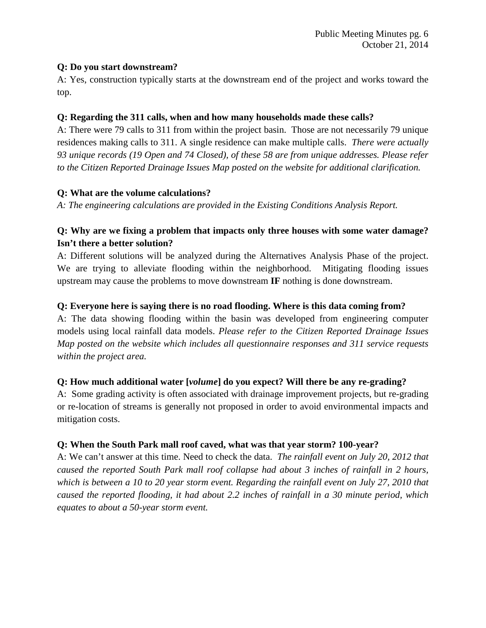#### **Q: Do you start downstream?**

A: Yes, construction typically starts at the downstream end of the project and works toward the top.

### **Q: Regarding the 311 calls, when and how many households made these calls?**

A: There were 79 calls to 311 from within the project basin. Those are not necessarily 79 unique residences making calls to 311. A single residence can make multiple calls. *There were actually 93 unique records (19 Open and 74 Closed), of these 58 are from unique addresses. Please refer to the Citizen Reported Drainage Issues Map posted on the website for additional clarification.*

# **Q: What are the volume calculations?**

*A: The engineering calculations are provided in the Existing Conditions Analysis Report.*

# **Q: Why are we fixing a problem that impacts only three houses with some water damage? Isn't there a better solution?**

A: Different solutions will be analyzed during the Alternatives Analysis Phase of the project. We are trying to alleviate flooding within the neighborhood. Mitigating flooding issues upstream may cause the problems to move downstream **IF** nothing is done downstream.

# **Q: Everyone here is saying there is no road flooding. Where is this data coming from?**

A: The data showing flooding within the basin was developed from engineering computer models using local rainfall data models. *Please refer to the Citizen Reported Drainage Issues Map posted on the website which includes all questionnaire responses and 311 service requests within the project area.*

# **Q: How much additional water [***volume***] do you expect? Will there be any re-grading?**

A: Some grading activity is often associated with drainage improvement projects, but re-grading or re-location of streams is generally not proposed in order to avoid environmental impacts and mitigation costs.

# **Q: When the South Park mall roof caved, what was that year storm? 100-year?**

A: We can't answer at this time. Need to check the data. *The rainfall event on July 20, 2012 that caused the reported South Park mall roof collapse had about 3 inches of rainfall in 2 hours, which is between a 10 to 20 year storm event. Regarding the rainfall event on July 27, 2010 that caused the reported flooding, it had about 2.2 inches of rainfall in a 30 minute period, which equates to about a 50-year storm event.*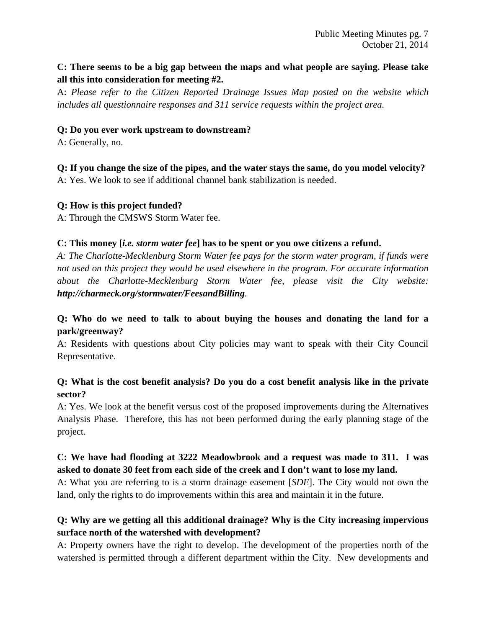# **C: There seems to be a big gap between the maps and what people are saying. Please take all this into consideration for meeting #2.**

A: *Please refer to the Citizen Reported Drainage Issues Map posted on the website which includes all questionnaire responses and 311 service requests within the project area.*

### **Q: Do you ever work upstream to downstream?**

A: Generally, no.

**Q: If you change the size of the pipes, and the water stays the same, do you model velocity?** A: Yes. We look to see if additional channel bank stabilization is needed.

### **Q: How is this project funded?**

A: Through the CMSWS Storm Water fee.

### **C: This money [***i.e. storm water fee***] has to be spent or you owe citizens a refund.**

*A: The Charlotte-Mecklenburg Storm Water fee pays for the storm water program, if funds were not used on this project they would be used elsewhere in the program. For accurate information about the Charlotte-Mecklenburg Storm Water fee, please visit the City website: http://charmeck.org/stormwater/FeesandBilling.*

# **Q: Who do we need to talk to about buying the houses and donating the land for a park/greenway?**

A: Residents with questions about City policies may want to speak with their City Council Representative.

# **Q: What is the cost benefit analysis? Do you do a cost benefit analysis like in the private sector?**

A: Yes. We look at the benefit versus cost of the proposed improvements during the Alternatives Analysis Phase. Therefore, this has not been performed during the early planning stage of the project.

# **C: We have had flooding at 3222 Meadowbrook and a request was made to 311. I was asked to donate 30 feet from each side of the creek and I don't want to lose my land.**

A: What you are referring to is a storm drainage easement [*SDE*]. The City would not own the land, only the rights to do improvements within this area and maintain it in the future.

# **Q: Why are we getting all this additional drainage? Why is the City increasing impervious surface north of the watershed with development?**

A: Property owners have the right to develop. The development of the properties north of the watershed is permitted through a different department within the City. New developments and